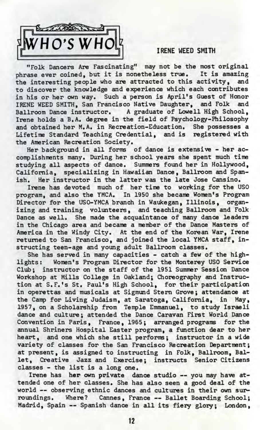

## IRENE WEED SMITH

"Folk Dancers Are Fascinating" may not be the most original phrase ever coined, but it is nonetheless true. It is amazing the interesting people who are attracted to this activity, and to discover the knowledge and experience which each contributes in his or her own way. Such a person is April's Guest of Honor IRENE WEED SMITH, San Francisco Native Daughter, and Folk and Ballroom Dance instructor. A graduate of Lowell High School, Irene holds a B.A. degree in the field of Psychology-Philosophy and obtained her M.A. in Recreation-Education. She possesses a Lifetime Standard Teaching Credential, and is registered with the American Recreation Society.

Her background in all forms of dance is extensive - her accomplishments many. During her school years she spent much time studying all aspects of dance. Summers found her in Hollywood, California, specializing in Hawaiian Dance, Ballroom and Spanish. Her instructor in the latter was the late Jose Cansino.

Irene has devoted much of her time to working for the USO program, and also the YMCA. In 1950 she became Women's Program Director for the USO-YMCA branch in Waukegan, Illinois, organizing and training volunteers, and teaching Ballroom and Folk Dance as well. She made the acquaintance of many dance leaders in the Chicago area and became a member of the Dance Masters of America in the Windy City. At the end of the Korean War, Irene returned to San Francisco, and joined the local YMCA staff, instructing teen-age and young adult Ballroom classes.

She has served in many capacities - catch a few of the highlights: Women's Program Director for the Monterey USO Service Club; instructor on the staff of the 1951 Summer Session Dance Workshop at Mills College in Oakland; Choreography and Instruction at S.F.'s St. Paul's High School, for their participation in operettas and musicals at Sigmund Stern Grove; attendance at the Camp for Living Judaism, at Saratoga, California, in May, 1957, on a Scholarship from Temple Emmanuel, to study Israeli dance and culture; attended the Dance Caravan First World Dance Convention in Paris, France, 1965; arranged programs for the annual Shriners Hospital Easter program, a function dear to her heart, and one which she still performs; instructor in a wide variety of classes for the San Francisco Recreation Department; at present, is assigned to instructing in Folk, Ballroom, Ballet, Creative Jazz and Exercise; instructs Senior Citizens classes - the list is a long one.

Irene has her own private dance studio — you may have attended one of her classes. She has also seen a good deal of the world — observing ethnic dances and cultures in their own surroundings. Where? Cannes, France — Ballet Boarding School; Madrid, Spain -- Spanish dance in all its fiery glory; London,